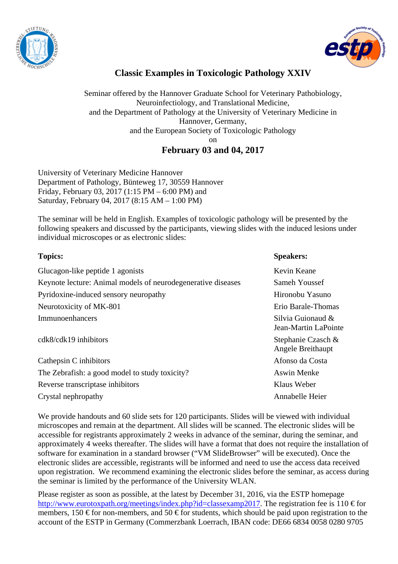



## **Classic Examples in Toxicologic Pathology XXIV**

Seminar offered by the Hannover Graduate School for Veterinary Pathobiology, Neuroinfectiology, and Translational Medicine, and the Department of Pathology at the University of Veterinary Medicine in Hannover, Germany, and the European Society of Toxicologic Pathology on **February 03 and 04, 2017** 

University of Veterinary Medicine Hannover Department of Pathology, Bünteweg 17, 30559 Hannover Friday, February 03, 2017 (1:15 PM – 6:00 PM) and Saturday, February 04, 2017 (8:15 AM – 1:00 PM)

The seminar will be held in English. Examples of toxicologic pathology will be presented by the following speakers and discussed by the participants, viewing slides with the induced lesions under individual microscopes or as electronic slides:

| <b>Topics:</b>                                               | <b>Speakers:</b>                          |
|--------------------------------------------------------------|-------------------------------------------|
| Glucagon-like peptide 1 agonists                             | Kevin Keane                               |
| Keynote lecture: Animal models of neurodegenerative diseases | Sameh Youssef                             |
| Pyridoxine-induced sensory neuropathy                        | Hironobu Yasuno                           |
| Neurotoxicity of MK-801                                      | Erio Barale-Thomas                        |
| Immunoenhancers                                              | Silvia Guionaud &<br>Jean-Martin LaPointe |
| $cdk8/cdk19$ inhibitors                                      | Stephanie Czasch &<br>Angele Breithaupt   |
| Cathepsin C inhibitors                                       | Afonso da Costa                           |
| The Zebrafish: a good model to study toxicity?               | <b>Aswin Menke</b>                        |
| Reverse transcriptase inhibitors                             | Klaus Weber                               |
| Crystal nephropathy                                          | Annabelle Heier                           |
|                                                              |                                           |

We provide handouts and 60 slide sets for 120 participants. Slides will be viewed with individual microscopes and remain at the department. All slides will be scanned. The electronic slides will be accessible for registrants approximately 2 weeks in advance of the seminar, during the seminar, and approximately 4 weeks thereafter. The slides will have a format that does not require the installation of software for examination in a standard browser ("VM SlideBrowser" will be executed). Once the electronic slides are accessible, registrants will be informed and need to use the access data received upon registration. We recommend examining the electronic slides before the seminar, as access during the seminar is limited by the performance of the University WLAN.

Please register as soon as possible, at the latest by December 31, 2016, via the ESTP homepage http://www.eurotoxpath.org/meetings/index.php?id=classexamp2017. The registration fee is 110 € for members, 150  $\epsilon$  for non-members, and 50  $\epsilon$  for students, which should be paid upon registration to the account of the ESTP in Germany (Commerzbank Loerrach, IBAN code: DE66 6834 0058 0280 9705